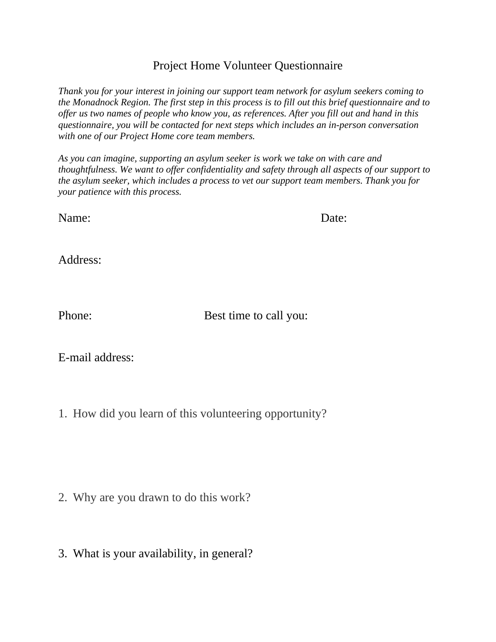## Project Home Volunteer Questionnaire

*Thank you for your interest in joining our support team network for asylum seekers coming to the Monadnock Region. The first step in this process is to fill out this brief questionnaire and to offer us two names of people who know you, as references. After you fill out and hand in this questionnaire, you will be contacted for next steps which includes an in-person conversation with one of our Project Home core team members.*

*As you can imagine, supporting an asylum seeker is work we take on with care and thoughtfulness. We want to offer confidentiality and safety through all aspects of our support to the asylum seeker, which includes a process to vet our support team members. Thank you for your patience with this process.*

Name: Date:

Address:

Phone: Best time to call you:

E-mail address:

1. How did you learn of this volunteering opportunity?

- 2. Why are you drawn to do this work?
- 3. What is your availability, in general?